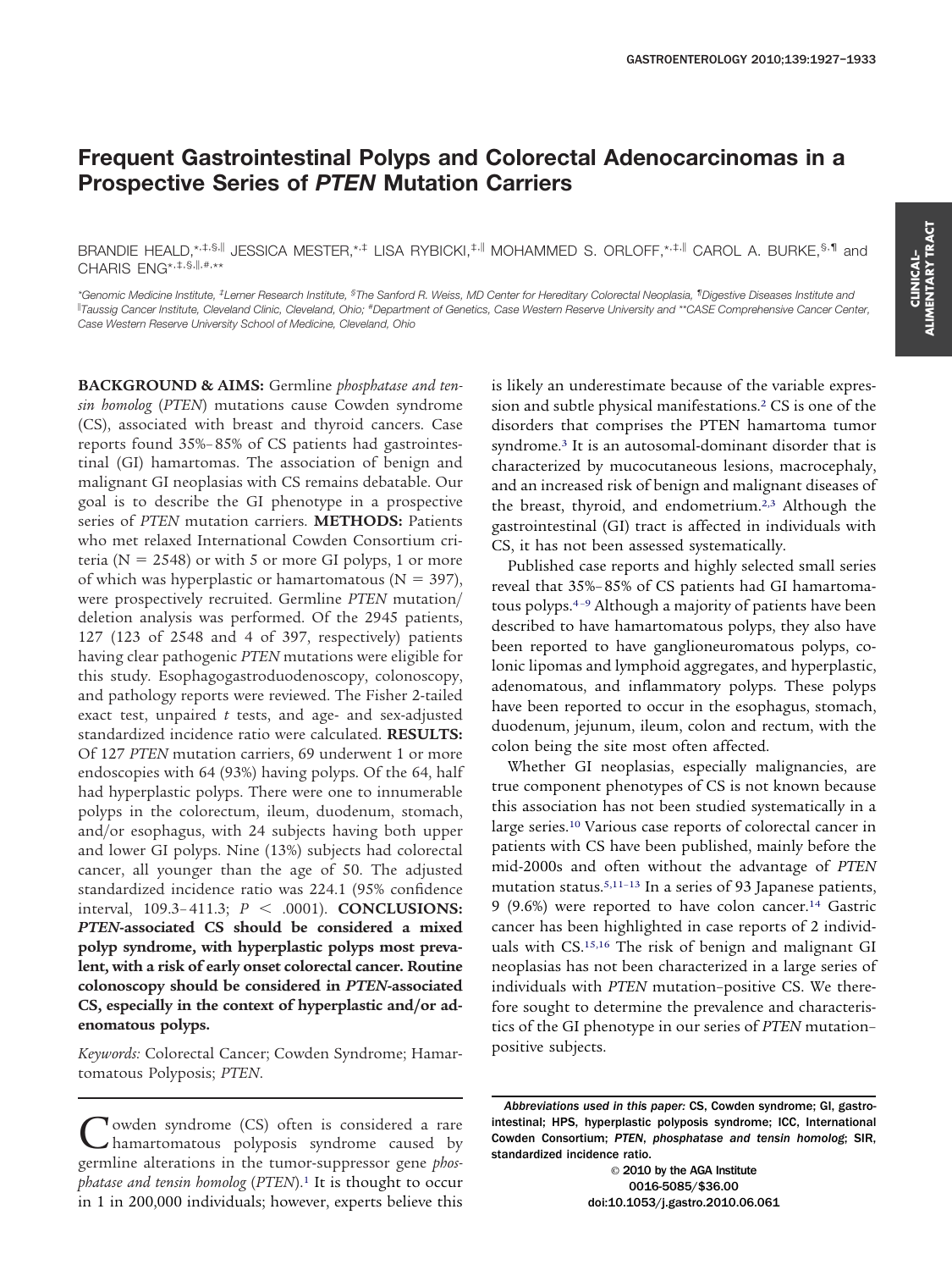# **Frequent Gastrointestinal Polyps and Colorectal Adenocarcinomas in a Prospective Series of** *PTEN* **Mutation Carriers**

BRANDIE HEALD,\*,#,§,|| JESSICA MESTER,\*,# LISA RYBICKI,#,|| MOHAMMED S. ORLOFF,\*,#,|| CAROL A. BURKE, §,1| and CHARIS ENG\*, #, \$, ||, #, \*\*

*\*Genomic Medicine Institute, ‡ Lerner Research Institute, § The Sanford R. Weiss, MD Center for Hereditary Colorectal Neoplasia, ¶ Digestive Diseases Institute and Taussig Cancer Institute, Cleveland Clinic, Cleveland, Ohio; # Department of Genetics, Case Western Reserve University and \*\*CASE Comprehensive Cancer Center, Case Western Reserve University School of Medicine, Cleveland, Ohio*

**BACKGROUND & AIMS:** Germline *phosphatase and tensin homolog* (*PTEN*) mutations cause Cowden syndrome (CS), associated with breast and thyroid cancers. Case reports found 35%– 85% of CS patients had gastrointestinal (GI) hamartomas. The association of benign and malignant GI neoplasias with CS remains debatable. Our goal is to describe the GI phenotype in a prospective series of *PTEN* mutation carriers. **METHODS:** Patients who met relaxed International Cowden Consortium criteria ( $N = 2548$ ) or with 5 or more GI polyps, 1 or more of which was hyperplastic or hamartomatous ( $N = 397$ ), were prospectively recruited. Germline *PTEN* mutation/ deletion analysis was performed. Of the 2945 patients, 127 (123 of 2548 and 4 of 397, respectively) patients having clear pathogenic *PTEN* mutations were eligible for this study. Esophagogastroduodenoscopy, colonoscopy, and pathology reports were reviewed. The Fisher 2-tailed exact test, unpaired *t* tests, and age- and sex-adjusted standardized incidence ratio were calculated. **RESULTS:** Of 127 *PTEN* mutation carriers, 69 underwent 1 or more endoscopies with 64 (93%) having polyps. Of the 64, half had hyperplastic polyps. There were one to innumerable polyps in the colorectum, ileum, duodenum, stomach, and/or esophagus, with 24 subjects having both upper and lower GI polyps. Nine (13%) subjects had colorectal cancer, all younger than the age of 50. The adjusted standardized incidence ratio was 224.1 (95% confidence interval, 109.3– 411.3; *P* - .0001). **CONCLUSIONS:** *PTEN***-associated CS should be considered a mixed polyp syndrome, with hyperplastic polyps most prevalent, with a risk of early onset colorectal cancer. Routine colonoscopy should be considered in** *PTEN***-associated CS, especially in the context of hyperplastic and/or adenomatous polyps.**

*Keywords:* Colorectal Cancer; Cowden Syndrome; Hamartomatous Polyposis; *PTEN*.

Cowden syndrome (CS) often is considered a rare hamartomatous polyposis syndrome caused by germline alterations in the tumor-suppressor gene *phosphatase and tensin homolog* (*PTEN*)[.1](#page-6-0) It is thought to occur in 1 in 200,000 individuals; however, experts believe this

is likely an underestimate because of the variable expression and subtle physical manifestations[.2](#page-6-0) CS is one of the disorders that comprises the PTEN hamartoma tumor syndrome[.3](#page-6-0) It is an autosomal-dominant disorder that is characterized by mucocutaneous lesions, macrocephaly, and an increased risk of benign and malignant diseases of the breast, thyroid, and endometrium[.2,3](#page-6-0) Although the gastrointestinal (GI) tract is affected in individuals with CS, it has not been assessed systematically.

Published case reports and highly selected small series reveal that 35%– 85% of CS patients had GI hamartomatous polyps[.4–9](#page-6-0) Although a majority of patients have been described to have hamartomatous polyps, they also have been reported to have ganglioneuromatous polyps, colonic lipomas and lymphoid aggregates, and hyperplastic, adenomatous, and inflammatory polyps. These polyps have been reported to occur in the esophagus, stomach, duodenum, jejunum, ileum, colon and rectum, with the colon being the site most often affected.

Whether GI neoplasias, especially malignancies, are true component phenotypes of CS is not known because this association has not been studied systematically in a large series.<sup>10</sup> Various case reports of colorectal cancer in patients with CS have been published, mainly before the mid-2000s and often without the advantage of *PTEN* mutation status[.5,11–13](#page-6-0) In a series of 93 Japanese patients, 9 (9.6%) were reported to have colon cancer[.14](#page-6-0) Gastric cancer has been highlighted in case reports of 2 individuals with CS[.15,16](#page-6-0) The risk of benign and malignant GI neoplasias has not been characterized in a large series of individuals with *PTEN* mutation–positive CS. We therefore sought to determine the prevalence and characteristics of the GI phenotype in our series of *PTEN* mutation– positive subjects.

© 2010 by the AGA Institute 0016-5085/\$36.00 doi:10.1053/j.gastro.2010.06.061

*Abbreviations used in this paper:* CS, Cowden syndrome; GI, gastrointestinal; HPS, hyperplastic polyposis syndrome; ICC, International Cowden Consortium; *PTEN*, *phosphatase and tensin homolog*; SIR, standardized incidence ratio.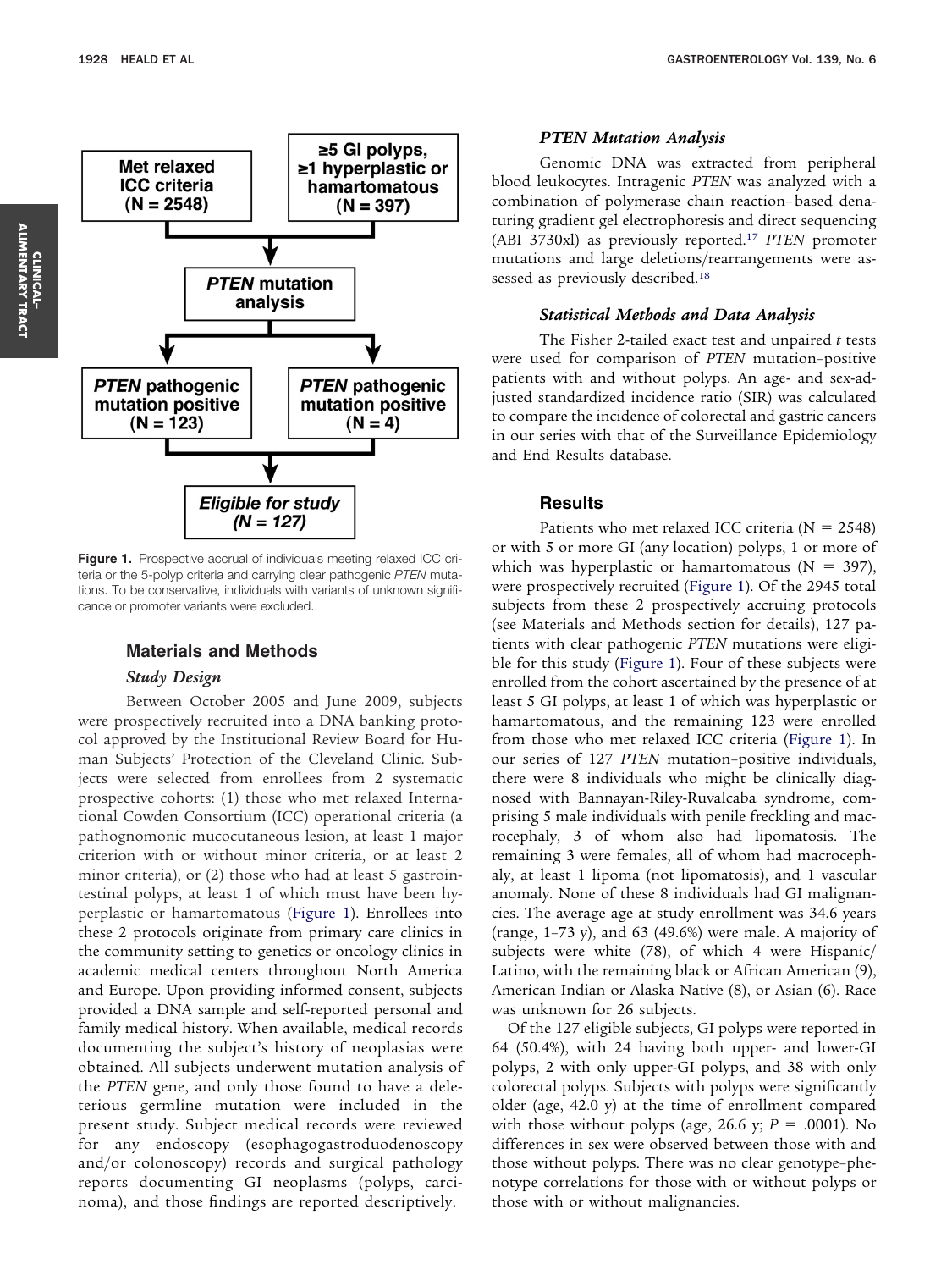

**Figure 1.** Prospective accrual of individuals meeting relaxed ICC criteria or the 5-polyp criteria and carrying clear pathogenic *PTEN* mutations. To be conservative, individuals with variants of unknown significance or promoter variants were excluded.

# **Materials and Methods**

## *Study Design*

Between October 2005 and June 2009, subjects were prospectively recruited into a DNA banking protocol approved by the Institutional Review Board for Human Subjects' Protection of the Cleveland Clinic. Subjects were selected from enrollees from 2 systematic prospective cohorts: (1) those who met relaxed International Cowden Consortium (ICC) operational criteria (a pathognomonic mucocutaneous lesion, at least 1 major criterion with or without minor criteria, or at least 2 minor criteria), or (2) those who had at least 5 gastrointestinal polyps, at least 1 of which must have been hyperplastic or hamartomatous (Figure 1). Enrollees into these 2 protocols originate from primary care clinics in the community setting to genetics or oncology clinics in academic medical centers throughout North America and Europe. Upon providing informed consent, subjects provided a DNA sample and self-reported personal and family medical history. When available, medical records documenting the subject's history of neoplasias were obtained. All subjects underwent mutation analysis of the *PTEN* gene, and only those found to have a deleterious germline mutation were included in the present study. Subject medical records were reviewed for any endoscopy (esophagogastroduodenoscopy and/or colonoscopy) records and surgical pathology reports documenting GI neoplasms (polyps, carcinoma), and those findings are reported descriptively.

#### *PTEN Mutation Analysis*

Genomic DNA was extracted from peripheral blood leukocytes. Intragenic *PTEN* was analyzed with a combination of polymerase chain reaction– based denaturing gradient gel electrophoresis and direct sequencing (ABI 3730xl) as previously reported[.17](#page-6-0) *PTEN* promoter mutations and large deletions/rearrangements were assessed as previously described[.18](#page-6-0)

## *Statistical Methods and Data Analysis*

The Fisher 2-tailed exact test and unpaired *t* tests were used for comparison of *PTEN* mutation–positive patients with and without polyps. An age- and sex-adjusted standardized incidence ratio (SIR) was calculated to compare the incidence of colorectal and gastric cancers in our series with that of the Surveillance Epidemiology and End Results database.

# **Results**

Patients who met relaxed ICC criteria ( $N = 2548$ ) or with 5 or more GI (any location) polyps, 1 or more of which was hyperplastic or hamartomatous  $(N = 397)$ , were prospectively recruited (Figure 1). Of the 2945 total subjects from these 2 prospectively accruing protocols (see Materials and Methods section for details), 127 patients with clear pathogenic *PTEN* mutations were eligible for this study (Figure 1). Four of these subjects were enrolled from the cohort ascertained by the presence of at least 5 GI polyps, at least 1 of which was hyperplastic or hamartomatous, and the remaining 123 were enrolled from those who met relaxed ICC criteria (Figure 1). In our series of 127 *PTEN* mutation–positive individuals, there were 8 individuals who might be clinically diagnosed with Bannayan-Riley-Ruvalcaba syndrome, comprising 5 male individuals with penile freckling and macrocephaly, 3 of whom also had lipomatosis. The remaining 3 were females, all of whom had macrocephaly, at least 1 lipoma (not lipomatosis), and 1 vascular anomaly. None of these 8 individuals had GI malignancies. The average age at study enrollment was 34.6 years (range,  $1-73$  y), and  $63$  (49.6%) were male. A majority of subjects were white (78), of which 4 were Hispanic/ Latino, with the remaining black or African American (9), American Indian or Alaska Native (8), or Asian (6). Race was unknown for 26 subjects.

Of the 127 eligible subjects, GI polyps were reported in 64 (50.4%), with 24 having both upper- and lower-GI polyps, 2 with only upper-GI polyps, and 38 with only colorectal polyps. Subjects with polyps were significantly older (age, 42.0 y) at the time of enrollment compared with those without polyps (age, 26.6 y;  $P = .0001$ ). No differences in sex were observed between those with and those without polyps. There was no clear genotype–phenotype correlations for those with or without polyps or those with or without malignancies.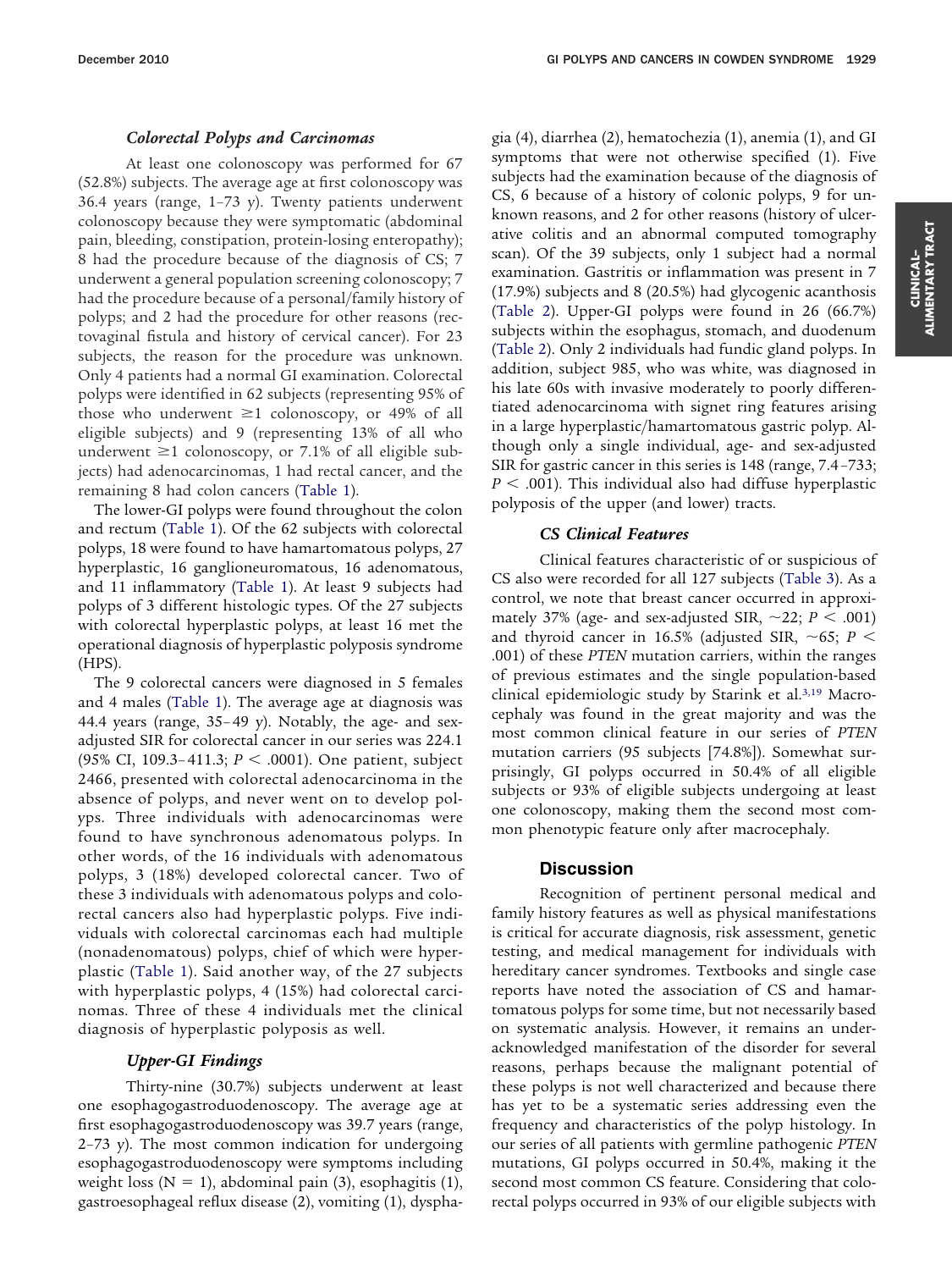## *Colorectal Polyps and Carcinomas*

At least one colonoscopy was performed for 67 (52.8%) subjects. The average age at first colonoscopy was 36.4 years (range, 1–73 y). Twenty patients underwent colonoscopy because they were symptomatic (abdominal pain, bleeding, constipation, protein-losing enteropathy); 8 had the procedure because of the diagnosis of CS; 7 underwent a general population screening colonoscopy; 7 had the procedure because of a personal/family history of polyps; and 2 had the procedure for other reasons (rectovaginal fistula and history of cervical cancer). For 23 subjects, the reason for the procedure was unknown. Only 4 patients had a normal GI examination. Colorectal polyps were identified in 62 subjects (representing 95% of those who underwent  $\geq 1$  colonoscopy, or 49% of all eligible subjects) and 9 (representing 13% of all who underwent  $\geq 1$  colonoscopy, or 7.1% of all eligible subjects) had adenocarcinomas, 1 had rectal cancer, and the remaining 8 had colon cancers [\(Table 1\)](#page-3-0).

The lower-GI polyps were found throughout the colon and rectum [\(Table 1\)](#page-3-0). Of the 62 subjects with colorectal polyps, 18 were found to have hamartomatous polyps, 27 hyperplastic, 16 ganglioneuromatous, 16 adenomatous, and 11 inflammatory [\(Table 1\)](#page-3-0). At least 9 subjects had polyps of 3 different histologic types. Of the 27 subjects with colorectal hyperplastic polyps, at least 16 met the operational diagnosis of hyperplastic polyposis syndrome (HPS).

The 9 colorectal cancers were diagnosed in 5 females and 4 males [\(Table 1\)](#page-3-0). The average age at diagnosis was 44.4 years (range, 35– 49 y). Notably, the age- and sexadjusted SIR for colorectal cancer in our series was 224.1 (95% CI, 109.3-411.3; *P* < .0001). One patient, subject 2466, presented with colorectal adenocarcinoma in the absence of polyps, and never went on to develop polyps. Three individuals with adenocarcinomas were found to have synchronous adenomatous polyps. In other words, of the 16 individuals with adenomatous polyps, 3 (18%) developed colorectal cancer. Two of these 3 individuals with adenomatous polyps and colorectal cancers also had hyperplastic polyps. Five individuals with colorectal carcinomas each had multiple (nonadenomatous) polyps, chief of which were hyperplastic [\(Table 1\)](#page-3-0). Said another way, of the 27 subjects with hyperplastic polyps, 4 (15%) had colorectal carcinomas. Three of these 4 individuals met the clinical diagnosis of hyperplastic polyposis as well.

#### *Upper-GI Findings*

Thirty-nine (30.7%) subjects underwent at least one esophagogastroduodenoscopy. The average age at first esophagogastroduodenoscopy was 39.7 years (range, 2–73 y). The most common indication for undergoing esophagogastroduodenoscopy were symptoms including weight loss ( $N = 1$ ), abdominal pain (3), esophagitis (1), gastroesophageal reflux disease (2), vomiting (1), dysphagia (4), diarrhea (2), hematochezia (1), anemia (1), and GI symptoms that were not otherwise specified (1). Five subjects had the examination because of the diagnosis of CS, 6 because of a history of colonic polyps, 9 for unknown reasons, and 2 for other reasons (history of ulcerative colitis and an abnormal computed tomography scan). Of the 39 subjects, only 1 subject had a normal examination. Gastritis or inflammation was present in 7 (17.9%) subjects and 8 (20.5%) had glycogenic acanthosis [\(Table 2\)](#page-4-0). Upper-GI polyps were found in 26 (66.7%) subjects within the esophagus, stomach, and duodenum [\(Table 2\)](#page-4-0). Only 2 individuals had fundic gland polyps. In addition, subject 985, who was white, was diagnosed in his late 60s with invasive moderately to poorly differentiated adenocarcinoma with signet ring features arising in a large hyperplastic/hamartomatous gastric polyp. Although only a single individual, age- and sex-adjusted SIR for gastric cancer in this series is 148 (range, 7.4 –733;  $P < .001$ ). This individual also had diffuse hyperplastic polyposis of the upper (and lower) tracts.

## *CS Clinical Features*

Clinical features characteristic of or suspicious of CS also were recorded for all 127 subjects [\(Table 3\)](#page-5-0). As a control, we note that breast cancer occurred in approximately 37% (age- and sex-adjusted SIR,  $\sim$ 22; *P* < .001) and thyroid cancer in 16.5% (adjusted SIR,  $\sim$ 65; *P*  $<$ .001) of these *PTEN* mutation carriers, within the ranges of previous estimates and the single population-based clinical epidemiologic study by Starink et al[.3,19](#page-6-0) Macrocephaly was found in the great majority and was the most common clinical feature in our series of *PTEN* mutation carriers (95 subjects [74.8%]). Somewhat surprisingly, GI polyps occurred in 50.4% of all eligible subjects or 93% of eligible subjects undergoing at least one colonoscopy, making them the second most common phenotypic feature only after macrocephaly.

#### **Discussion**

Recognition of pertinent personal medical and family history features as well as physical manifestations is critical for accurate diagnosis, risk assessment, genetic testing, and medical management for individuals with hereditary cancer syndromes. Textbooks and single case reports have noted the association of CS and hamartomatous polyps for some time, but not necessarily based on systematic analysis. However, it remains an underacknowledged manifestation of the disorder for several reasons, perhaps because the malignant potential of these polyps is not well characterized and because there has yet to be a systematic series addressing even the frequency and characteristics of the polyp histology. In our series of all patients with germline pathogenic *PTEN* mutations, GI polyps occurred in 50.4%, making it the second most common CS feature. Considering that colorectal polyps occurred in 93% of our eligible subjects with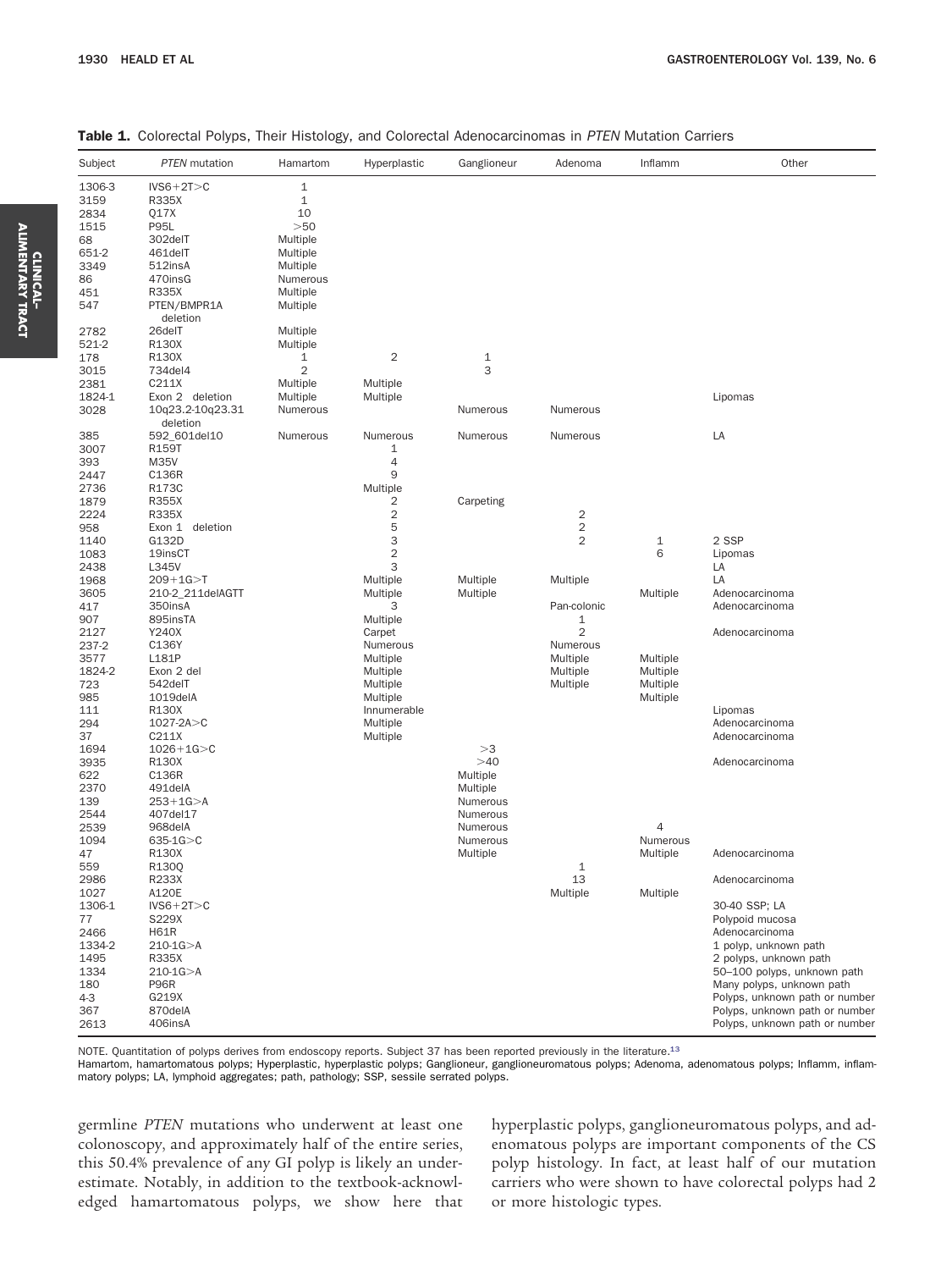| Subject     | <b>PTEN</b> mutation | Hamartom             | Hyperplastic       | Ganglioneur  | Adenoma             | Inflamm        | Other                                                            |
|-------------|----------------------|----------------------|--------------------|--------------|---------------------|----------------|------------------------------------------------------------------|
| 1306-3      | $IVS6+2T>C$          | $\mathbf 1$          |                    |              |                     |                |                                                                  |
| 3159        | R335X                | $\mathbf{1}$         |                    |              |                     |                |                                                                  |
| 2834        | Q17X                 | 10                   |                    |              |                     |                |                                                                  |
| 1515        | <b>P95L</b>          | >50                  |                    |              |                     |                |                                                                  |
| 68<br>651-2 | 302delT<br>461delT   | Multiple<br>Multiple |                    |              |                     |                |                                                                  |
| 3349        | 512insA              | Multiple             |                    |              |                     |                |                                                                  |
| 86          | 470insG              | Numerous             |                    |              |                     |                |                                                                  |
| 451         | R335X                | Multiple             |                    |              |                     |                |                                                                  |
| 547         | PTEN/BMPR1A          | Multiple             |                    |              |                     |                |                                                                  |
| 2782        | deletion<br>26delT   | Multiple             |                    |              |                     |                |                                                                  |
| 521-2       | R130X                | Multiple             |                    |              |                     |                |                                                                  |
| 178         | R130X                | $\mathbf{1}$         | $\overline{c}$     | $\mathbf{1}$ |                     |                |                                                                  |
| 3015        | 734del4              | $\overline{c}$       |                    | 3            |                     |                |                                                                  |
| 2381        | C211X                | Multiple             | Multiple           |              |                     |                |                                                                  |
| 1824-1      | Exon 2 deletion      | Multiple             | Multiple           |              |                     |                | Lipomas                                                          |
| 3028        | 10q23.2-10q23.31     | Numerous             |                    | Numerous     | Numerous            |                |                                                                  |
|             | deletion             |                      |                    |              |                     |                |                                                                  |
| 385         | 592_601del10         | Numerous             | Numerous           | Numerous     | Numerous            |                | LA                                                               |
| 3007        | R159T                |                      | $\mathbf{1}$       |              |                     |                |                                                                  |
| 393         | M35V                 |                      | $\overline{4}$     |              |                     |                |                                                                  |
| 2447        | C136R                |                      | 9                  |              |                     |                |                                                                  |
| 2736        | R173C                |                      | Multiple           |              |                     |                |                                                                  |
| 1879        | <b>R355X</b>         |                      | 2                  | Carpeting    |                     |                |                                                                  |
| 2224        | R335X                |                      | $\overline{c}$     |              | 2                   |                |                                                                  |
| 958         | Exon 1<br>deletion   |                      | 5                  |              | $\overline{c}$      |                |                                                                  |
| 1140        | G132D                |                      | 3                  |              | $\overline{2}$      | $1\,$          | 2 SSP                                                            |
| 1083        | 19insCT              |                      | $\overline{c}$     |              |                     | 6              | Lipomas                                                          |
| 2438        | L345V                |                      | 3                  |              |                     |                | LA                                                               |
| 1968        | $209 + 1G > T$       |                      | Multiple           | Multiple     | Multiple            |                | LA                                                               |
| 3605        | 210-2_211delAGTT     |                      | Multiple           | Multiple     |                     | Multiple       | Adenocarcinoma                                                   |
| 417         | 350insA              |                      | 3                  |              | Pan-colonic         |                | Adenocarcinoma                                                   |
| 907<br>2127 | 895insTA<br>Y240X    |                      | Multiple           |              | 1<br>$\overline{2}$ |                | Adenocarcinoma                                                   |
| 237-2       | C136Y                |                      | Carpet<br>Numerous |              | Numerous            |                |                                                                  |
| 3577        | L181P                |                      | Multiple           |              | Multiple            | Multiple       |                                                                  |
| 1824-2      | Exon 2 del           |                      | Multiple           |              | Multiple            | Multiple       |                                                                  |
| 723         | 542delT              |                      | Multiple           |              | Multiple            | Multiple       |                                                                  |
| 985         | 1019delA             |                      | Multiple           |              |                     | Multiple       |                                                                  |
| 111         | R130X                |                      | Innumerable        |              |                     |                | Lipomas                                                          |
| 294         | $1027 - 2A > C$      |                      | Multiple           |              |                     |                | Adenocarcinoma                                                   |
| 37          | C211X                |                      | Multiple           |              |                     |                | Adenocarcinoma                                                   |
| 1694        | $1026 + 1G > C$      |                      |                    | >3           |                     |                |                                                                  |
| 3935        | R130X                |                      |                    | >40          |                     |                | Adenocarcinoma                                                   |
| 622         | C136R                |                      |                    | Multiple     |                     |                |                                                                  |
| 2370        | 491delA              |                      |                    | Multiple     |                     |                |                                                                  |
| 139         | $253+1G > A$         |                      |                    | Numerous     |                     |                |                                                                  |
| 2544        | 407del17             |                      |                    | Numerous     |                     |                |                                                                  |
| 2539        | 968delA              |                      |                    | Numerous     |                     | $\overline{4}$ |                                                                  |
| 1094        | $635 - 1G > C$       |                      |                    | Numerous     |                     | Numerous       |                                                                  |
| 47          | R130X                |                      |                    | Multiple     |                     | Multiple       | Adenocarcinoma                                                   |
| 559         | R130Q                |                      |                    |              | 1                   |                |                                                                  |
| 2986        | R233X                |                      |                    |              | 13                  |                | Adenocarcinoma                                                   |
| 1027        | A120E                |                      |                    |              | Multiple            | Multiple       |                                                                  |
| 1306-1      | $IVS6+2T>C$          |                      |                    |              |                     |                | 30-40 SSP; LA                                                    |
| 77          | S229X                |                      |                    |              |                     |                | Polypoid mucosa                                                  |
| 2466        | <b>H61R</b>          |                      |                    |              |                     |                | Adenocarcinoma                                                   |
| 1334-2      | $210 - 1G > A$       |                      |                    |              |                     |                | 1 polyp, unknown path                                            |
| 1495        | R335X                |                      |                    |              |                     |                | 2 polyps, unknown path                                           |
| 1334        | $210-1G > A$         |                      |                    |              |                     |                | 50-100 polyps, unknown path                                      |
| 180         | <b>P96R</b>          |                      |                    |              |                     |                | Many polyps, unknown path                                        |
| $4-3$       | G219X<br>870delA     |                      |                    |              |                     |                | Polyps, unknown path or number<br>Polyps, unknown path or number |
| 367         | 406insA              |                      |                    |              |                     |                | Polyps, unknown path or number                                   |
| 2613        |                      |                      |                    |              |                     |                |                                                                  |

#### <span id="page-3-0"></span>Table 1. Colorectal Polyps, Their Histology, and Colorectal Adenocarcinomas in *PTEN* Mutation Carriers

NOTE. Quantitation of polyps derives from endoscopy reports. Subject 37 has been reported previously in the literature[.13](#page-6-0)

Hamartom, hamartomatous polyps; Hyperplastic, hyperplastic polyps; Ganglioneur, ganglioneuromatous polyps; Adenoma, adenomatous polyps; Inflamm, inflammatory polyps; LA, lymphoid aggregates; path, pathology; SSP, sessile serrated polyps.

germline *PTEN* mutations who underwent at least one colonoscopy, and approximately half of the entire series, this 50.4% prevalence of any GI polyp is likely an underestimate. Notably, in addition to the textbook-acknowledged hamartomatous polyps, we show here that hyperplastic polyps, ganglioneuromatous polyps, and adenomatous polyps are important components of the CS polyp histology. In fact, at least half of our mutation carriers who were shown to have colorectal polyps had 2 or more histologic types.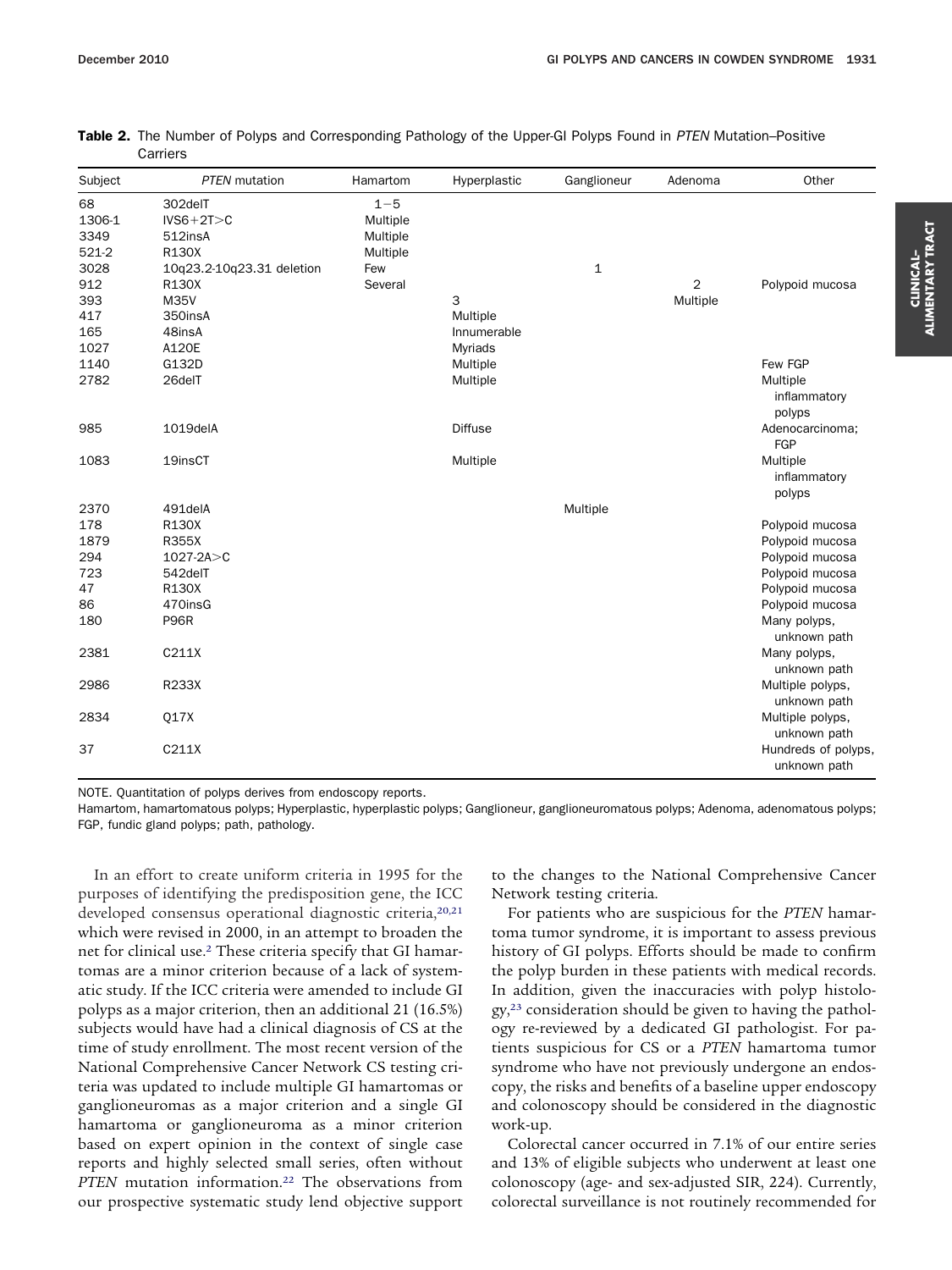| Subject | <b>PTEN</b> mutation      | Hamartom | Hyperplastic   | Ganglioneur  | Adenoma        | Other                                               |
|---------|---------------------------|----------|----------------|--------------|----------------|-----------------------------------------------------|
| 68      | 302delT                   | $1 - 5$  |                |              |                |                                                     |
| 1306-1  | $IVS6+2T>C$               | Multiple |                |              |                |                                                     |
| 3349    | 512insA                   | Multiple |                |              |                |                                                     |
| 521-2   | R130X                     | Multiple |                |              |                |                                                     |
| 3028    | 10q23.2-10q23.31 deletion | Few      |                | $\mathbf{1}$ |                |                                                     |
| 912     | R130X                     | Several  |                |              | $\overline{2}$ | Polypoid mucosa                                     |
| 393     | M35V                      |          | 3              |              | Multiple       |                                                     |
| 417     | 350insA                   |          | Multiple       |              |                |                                                     |
| 165     | 48insA                    |          | Innumerable    |              |                |                                                     |
| 1027    | A120E                     |          | Myriads        |              |                |                                                     |
| 1140    | G132D                     |          | Multiple       |              |                | Few FGP                                             |
| 2782    | 26delT                    |          | Multiple       |              |                | Multiple<br>inflammatory<br>polyps                  |
| 985     | 1019delA                  |          | <b>Diffuse</b> |              |                | Adenocarcinoma;<br>FGP                              |
| 1083    | 19insCT                   |          | Multiple       |              |                | Multiple<br>inflammatory<br>polyps                  |
| 2370    | 491delA                   |          |                | Multiple     |                |                                                     |
| 178     | R130X                     |          |                |              |                | Polypoid mucosa                                     |
| 1879    | R355X                     |          |                |              |                | Polypoid mucosa                                     |
| 294     | $1027 - 2A > C$           |          |                |              |                | Polypoid mucosa                                     |
| 723     | 542delT                   |          |                |              |                | Polypoid mucosa                                     |
| 47      | R130X                     |          |                |              |                | Polypoid mucosa                                     |
| 86      | 470insG                   |          |                |              |                | Polypoid mucosa                                     |
| 180     | <b>P96R</b>               |          |                |              |                | Many polyps,<br>unknown path                        |
| 2381    | C211X                     |          |                |              |                | Many polyps,                                        |
| 2986    | R233X                     |          |                |              |                | unknown path<br>Multiple polyps,<br>unknown path    |
| 2834    | Q17X                      |          |                |              |                | Multiple polyps,                                    |
| 37      | C211X                     |          |                |              |                | unknown path<br>Hundreds of polyps,<br>unknown path |

<span id="page-4-0"></span>Table 2. The Number of Polyps and Corresponding Pathology of the Upper-GI Polyps Found in *PTEN* Mutation–Positive Carriers

NOTE. Quantitation of polyps derives from endoscopy reports.

Hamartom, hamartomatous polyps; Hyperplastic, hyperplastic polyps; Ganglioneur, ganglioneuromatous polyps; Adenoma, adenomatous polyps; FGP, fundic gland polyps; path, pathology.

In an effort to create uniform criteria in 1995 for the purposes of identifying the predisposition gene, the ICC developed consensus operational diagnostic criteria,<sup>20,21</sup> which were revised in 2000, in an attempt to broaden the net for clinical use[.2](#page-6-0) These criteria specify that GI hamartomas are a minor criterion because of a lack of systematic study. If the ICC criteria were amended to include GI polyps as a major criterion, then an additional 21 (16.5%) subjects would have had a clinical diagnosis of CS at the time of study enrollment. The most recent version of the National Comprehensive Cancer Network CS testing criteria was updated to include multiple GI hamartomas or ganglioneuromas as a major criterion and a single GI hamartoma or ganglioneuroma as a minor criterion based on expert opinion in the context of single case reports and highly selected small series, often without PTEN mutation information.<sup>22</sup> The observations from our prospective systematic study lend objective support

to the changes to the National Comprehensive Cancer Network testing criteria.

For patients who are suspicious for the *PTEN* hamartoma tumor syndrome, it is important to assess previous history of GI polyps. Efforts should be made to confirm the polyp burden in these patients with medical records. In addition, given the inaccuracies with polyp histology,<sup>23</sup> consideration should be given to having the pathology re-reviewed by a dedicated GI pathologist. For patients suspicious for CS or a *PTEN* hamartoma tumor syndrome who have not previously undergone an endoscopy, the risks and benefits of a baseline upper endoscopy and colonoscopy should be considered in the diagnostic work-up.

Colorectal cancer occurred in 7.1% of our entire series and 13% of eligible subjects who underwent at least one colonoscopy (age- and sex-adjusted SIR, 224). Currently, colorectal surveillance is not routinely recommended for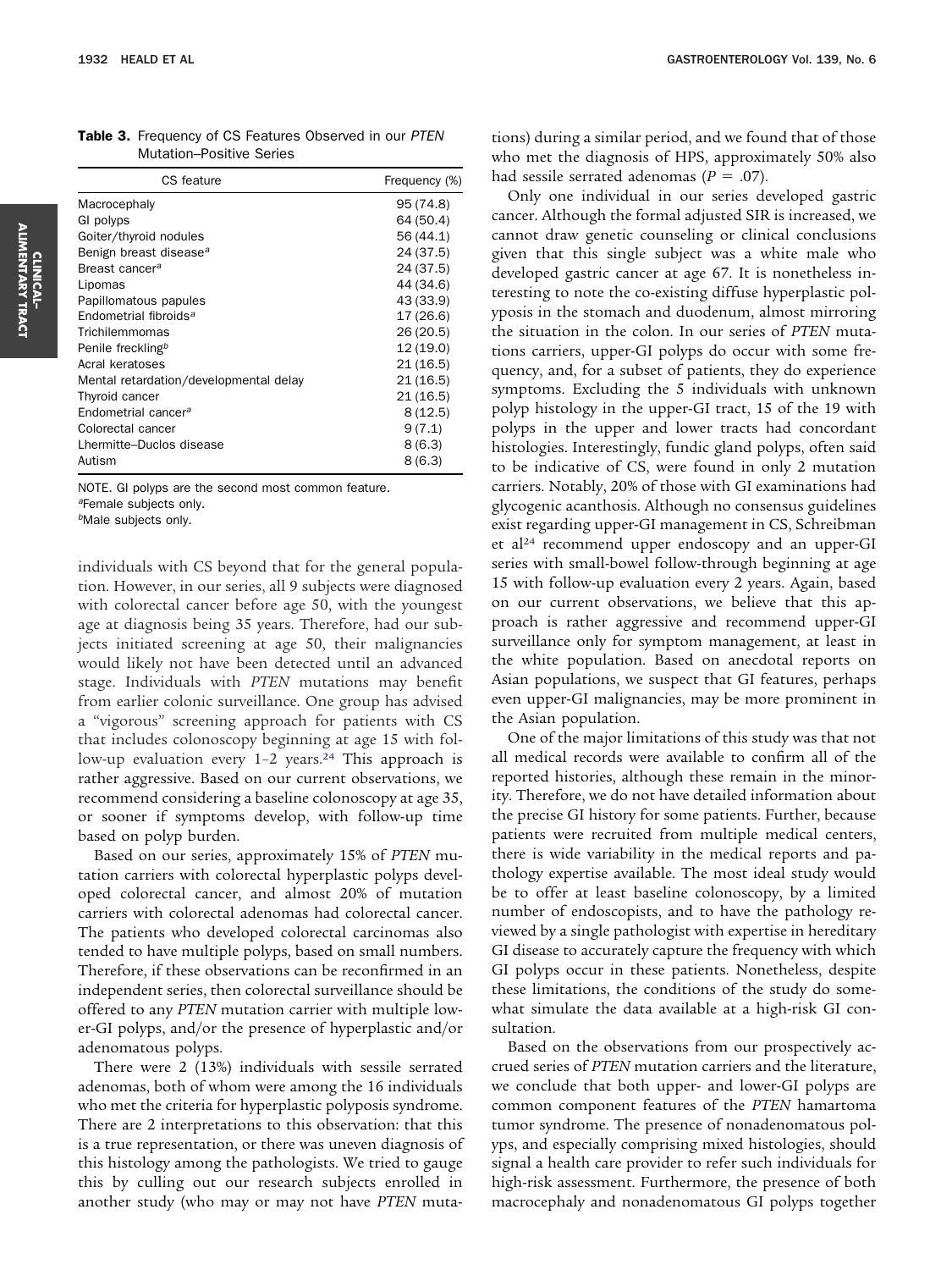| CS feature                             | Frequency (%) |  |  |
|----------------------------------------|---------------|--|--|
| Macrocephaly                           | 95 (74.8)     |  |  |
| GI polyps                              | 64 (50.4)     |  |  |
| Goiter/thyroid nodules                 | 56 (44.1)     |  |  |
| Benign breast disease <sup>a</sup>     | 24 (37.5)     |  |  |
| Breast cancer <sup>a</sup>             | 24 (37.5)     |  |  |
| Lipomas                                | 44 (34.6)     |  |  |
| Papillomatous papules                  | 43 (33.9)     |  |  |
| Endometrial fibroids <sup>a</sup>      | 17 (26.6)     |  |  |
| Trichilemmomas                         | 26(20.5)      |  |  |
| Penile freckling <sup>b</sup>          | 12(19.0)      |  |  |
| Acral keratoses                        | 21(16.5)      |  |  |
| Mental retardation/developmental delay | 21(16.5)      |  |  |
| Thyroid cancer                         | 21(16.5)      |  |  |
| Endometrial cancer <sup>a</sup>        | 8(12.5)       |  |  |
| Colorectal cancer                      | 9(7.1)        |  |  |
| Lhermitte-Duclos disease               | 8(6.3)        |  |  |
| Autism                                 | 8(6.3)        |  |  |

<span id="page-5-0"></span>Table 3. Frequency of CS Features Observed in our *PTEN* Mutation–Positive Series

NOTE. GI polyps are the second most common feature.

*<sup>a</sup>*Female subjects only.

*<sup>b</sup>*Male subjects only.

individuals with CS beyond that for the general population. However, in our series, all 9 subjects were diagnosed with colorectal cancer before age 50, with the youngest age at diagnosis being 35 years. Therefore, had our subjects initiated screening at age 50, their malignancies would likely not have been detected until an advanced stage. Individuals with *PTEN* mutations may benefit from earlier colonic surveillance. One group has advised a "vigorous" screening approach for patients with CS that includes colonoscopy beginning at age 15 with follow-up evaluation every 1-2 years.<sup>24</sup> This approach is rather aggressive. Based on our current observations, we recommend considering a baseline colonoscopy at age 35, or sooner if symptoms develop, with follow-up time based on polyp burden.

Based on our series, approximately 15% of *PTEN* mutation carriers with colorectal hyperplastic polyps developed colorectal cancer, and almost 20% of mutation carriers with colorectal adenomas had colorectal cancer. The patients who developed colorectal carcinomas also tended to have multiple polyps, based on small numbers. Therefore, if these observations can be reconfirmed in an independent series, then colorectal surveillance should be offered to any *PTEN* mutation carrier with multiple lower-GI polyps, and/or the presence of hyperplastic and/or adenomatous polyps.

There were 2 (13%) individuals with sessile serrated adenomas, both of whom were among the 16 individuals who met the criteria for hyperplastic polyposis syndrome. There are 2 interpretations to this observation: that this is a true representation, or there was uneven diagnosis of this histology among the pathologists. We tried to gauge this by culling out our research subjects enrolled in another study (who may or may not have *PTEN* mutations) during a similar period, and we found that of those who met the diagnosis of HPS, approximately 50% also had sessile serrated adenomas ( $P = .07$ ).

Only one individual in our series developed gastric cancer. Although the formal adjusted SIR is increased, we cannot draw genetic counseling or clinical conclusions given that this single subject was a white male who developed gastric cancer at age 67. It is nonetheless interesting to note the co-existing diffuse hyperplastic polyposis in the stomach and duodenum, almost mirroring the situation in the colon. In our series of *PTEN* mutations carriers, upper-GI polyps do occur with some frequency, and, for a subset of patients, they do experience symptoms. Excluding the 5 individuals with unknown polyp histology in the upper-GI tract, 15 of the 19 with polyps in the upper and lower tracts had concordant histologies. Interestingly, fundic gland polyps, often said to be indicative of CS, were found in only 2 mutation carriers. Notably, 20% of those with GI examinations had glycogenic acanthosis. Although no consensus guidelines exist regarding upper-GI management in CS, Schreibman et a[l24](#page-6-0) recommend upper endoscopy and an upper-GI series with small-bowel follow-through beginning at age 15 with follow-up evaluation every 2 years. Again, based on our current observations, we believe that this approach is rather aggressive and recommend upper-GI surveillance only for symptom management, at least in the white population. Based on anecdotal reports on Asian populations, we suspect that GI features, perhaps even upper-GI malignancies, may be more prominent in the Asian population.

One of the major limitations of this study was that not all medical records were available to confirm all of the reported histories, although these remain in the minority. Therefore, we do not have detailed information about the precise GI history for some patients. Further, because patients were recruited from multiple medical centers, there is wide variability in the medical reports and pathology expertise available. The most ideal study would be to offer at least baseline colonoscopy, by a limited number of endoscopists, and to have the pathology reviewed by a single pathologist with expertise in hereditary GI disease to accurately capture the frequency with which GI polyps occur in these patients. Nonetheless, despite these limitations, the conditions of the study do somewhat simulate the data available at a high-risk GI consultation.

Based on the observations from our prospectively accrued series of *PTEN* mutation carriers and the literature, we conclude that both upper- and lower-GI polyps are common component features of the *PTEN* hamartoma tumor syndrome. The presence of nonadenomatous polyps, and especially comprising mixed histologies, should signal a health care provider to refer such individuals for high-risk assessment. Furthermore, the presence of both macrocephaly and nonadenomatous GI polyps together